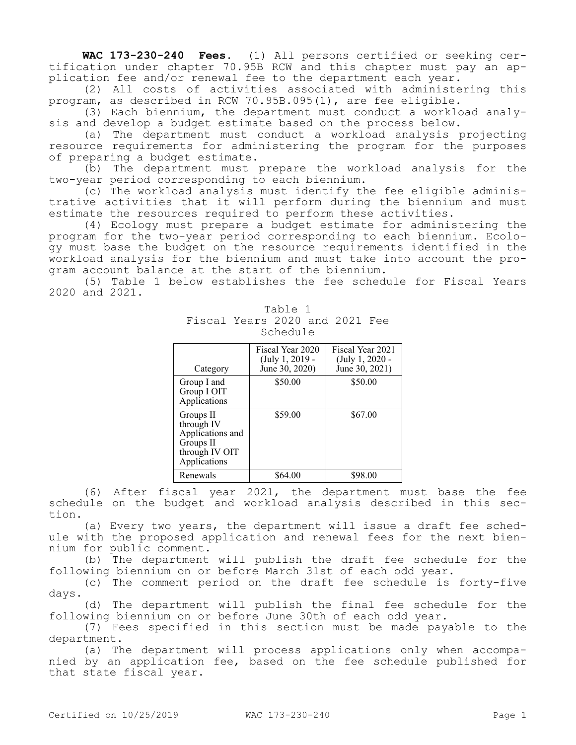**WAC 173-230-240 Fees.** (1) All persons certified or seeking certification under chapter 70.95B RCW and this chapter must pay an application fee and/or renewal fee to the department each year.

(2) All costs of activities associated with administering this program, as described in RCW 70.95B.095(1), are fee eligible.

(3) Each biennium, the department must conduct a workload analysis and develop a budget estimate based on the process below.

(a) The department must conduct a workload analysis projecting resource requirements for administering the program for the purposes of preparing a budget estimate.

(b) The department must prepare the workload analysis for the two-year period corresponding to each biennium.

(c) The workload analysis must identify the fee eligible administrative activities that it will perform during the biennium and must estimate the resources required to perform these activities.

(4) Ecology must prepare a budget estimate for administering the program for the two-year period corresponding to each biennium. Ecology must base the budget on the resource requirements identified in the workload analysis for the biennium and must take into account the program account balance at the start of the biennium.

(5) Table 1 below establishes the fee schedule for Fiscal Years 2020 and 2021.

| Category                                                                                   | Fiscal Year 2020<br>$(July 1, 2019 -$<br>June 30, 2020) | Fiscal Year 2021<br>(July 1, 2020 -<br>June 30, 2021) |
|--------------------------------------------------------------------------------------------|---------------------------------------------------------|-------------------------------------------------------|
| Group I and<br>Group I OIT<br>Applications                                                 | \$50.00                                                 | \$50.00                                               |
| Groups II<br>through IV<br>Applications and<br>Groups II<br>through IV OIT<br>Applications | \$59.00                                                 | \$67.00                                               |
| Renewals                                                                                   | \$64.00                                                 | \$98.00                                               |

| Table 1                        |  |  |  |  |  |  |  |
|--------------------------------|--|--|--|--|--|--|--|
| Fiscal Years 2020 and 2021 Fee |  |  |  |  |  |  |  |
| Schedule                       |  |  |  |  |  |  |  |

(6) After fiscal year 2021, the department must base the fee schedule on the budget and workload analysis described in this section.

(a) Every two years, the department will issue a draft fee schedule with the proposed application and renewal fees for the next biennium for public comment.

(b) The department will publish the draft fee schedule for the following biennium on or before March 31st of each odd year.

(c) The comment period on the draft fee schedule is forty-five days.

(d) The department will publish the final fee schedule for the following biennium on or before June 30th of each odd year.

(7) Fees specified in this section must be made payable to the department.

(a) The department will process applications only when accompanied by an application fee, based on the fee schedule published for that state fiscal year.